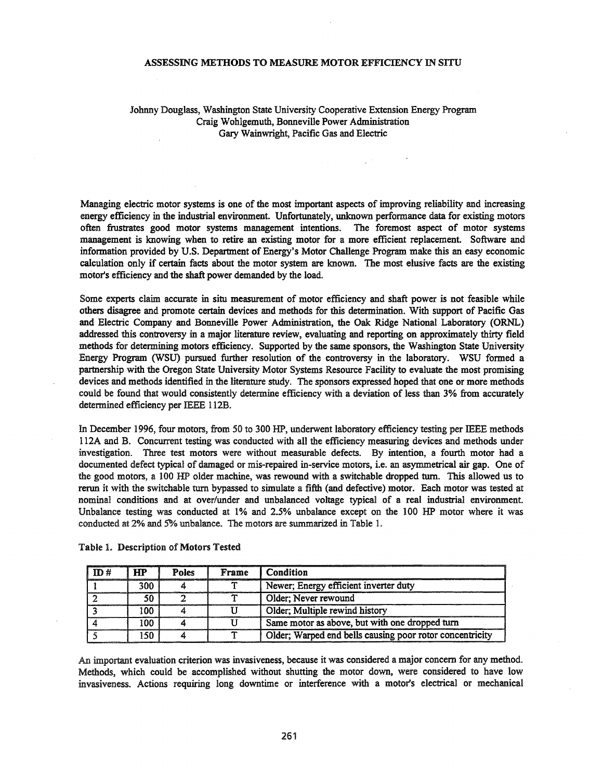#### ASSESSING METHODS TO MEASURE MOTOR EFFICIENCY IN SITU

## Johnny Douglass, Washington State University Cooperative Extension Energy Program Craig Wohlgemuth, Bonneville Power Administration Gary Wainwright, Pacific Gas and Electric

Managing electric motor systems is one of the most important aspects of improving reliability and increasing energy efficiency in the industrial environment. Unfortunately, unknown performance data for existing motors often frustrates good motor systems management intentions. The foremost aspect of motor systems management is knowing when to retire an existing motor for a more efficient replacement. Software and information provided by U.S. Department of Energy's Motor Challenge Program make this an easy economic calculation only if certain facts about the motor system are known. The most elusive facts are the existing motor's efficiency and the shaft power demanded by the load.

Some experts claim accurate in situ measurement of motor efficiency and shaft power is not feasible while others disagree and promote certain devices and methods for this determination. With support of Pacific Gas and Electric Company and Bonneville Power Administration, the Oak Ridge National Laboratory (ORNL) addressed this controversy in a major literature review, evaluating and reporting on approximately thirty field methods for determining motors efficiency. Supported by the same sponsors, the Washington State University Energy Program (WSU) pursued further resolution of the controversy in the laboratory. WSU formed a partnership with the Oregon State University Motor Systems Resource Facility to evaluate the most promising devices and methods identified in the literature study. The sponsors expressed hoped that one or more methods could be found that would consistently determine efficiency with a deviation of less than 3% from accurately determined efficiency per IEEE 112B.

In December 1996, four motors, from 50 to 300 HP, underwent laboratory efficiency testing per IEEE methods 112A and B. Concurrent testing was conducted with all the efficiency measuring devices and methods under investigation. Three test motors were without measurable defects. By intention, a fourth motor had a documented defect typical of damaged or mis-repaired in-service motors, i.e. an asymmetrical air gap. One of the good motors, a 100 HP older machine, was rewound with a switchable dropped turn. This allowed us to rerun it with the switchable tum bypassed to simulate a fifth (and defective) motor. Each motor was tested at nominal conditions and at over/under and unbalanced voltage typical of a real industrial environment. Unbalance testing was conducted at 1% and 2.5% unbalance except on the 100 HP motor where it was conducted at 2% and 5% unbalance. The motors are summarized in Table 1.

| ID# | HP  | <b>Poles</b> | Frame | Condition                                                |
|-----|-----|--------------|-------|----------------------------------------------------------|
|     | 300 |              |       | Newer; Energy efficient inverter duty                    |
|     | 50  |              |       | Older; Never rewound                                     |
|     | 100 |              |       | Older; Multiple rewind history                           |
|     | 100 |              |       | Same motor as above, but with one dropped turn           |
|     | 150 |              |       | Older; Warped end bells causing poor rotor concentricity |

Table 1. Description of Motors Tested

An important evaluation criterion was invasiveness, because it was considered a major concern for any method. Methods, which could be accomplished without shutting the motor down, were considered to have low invasiveness. Actions requiring long downtime or interference with a motor's electrical or mechanical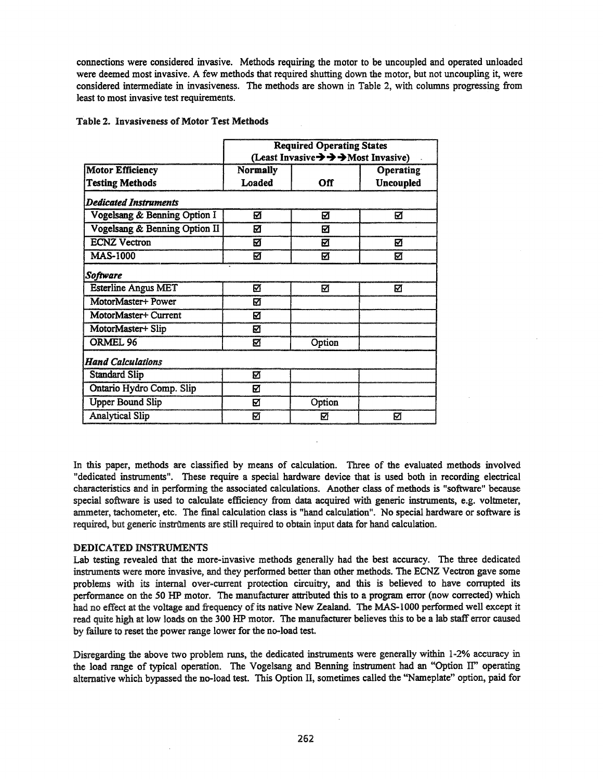connections were considered invasive. Methods requiring the motor to be uncoupled and operated unloaded were deemed most invasive. A few methods that required shutting down the motor, but not uncoupling it, were considered intermediate in invasiveness. The methods are shown in Table 2, with columns progressing from least to most invasive test requirements.

|                               | <b>Required Operating States</b><br>(Least Invasive $\rightarrow \rightarrow \rightarrow$ Most Invasive) |        |                  |  |  |
|-------------------------------|----------------------------------------------------------------------------------------------------------|--------|------------------|--|--|
| <b>Motor Efficiency</b>       | <b>Normally</b>                                                                                          |        | Operating        |  |  |
| <b>Testing Methods</b>        | Loaded                                                                                                   | Off    | <b>Uncoupled</b> |  |  |
| Dedicated Instruments         |                                                                                                          |        |                  |  |  |
| Vogelsang & Benning Option I  | M                                                                                                        | Ø      | Ø                |  |  |
| Vogelsang & Benning Option II | ☑                                                                                                        | Ø      |                  |  |  |
| <b>ECNZ</b> Vectron           | М                                                                                                        | Ø      | М                |  |  |
| <b>MAS-1000</b>               | Ø                                                                                                        | Ø      | Ø                |  |  |
| Software                      |                                                                                                          |        |                  |  |  |
| <b>Esterline Angus MET</b>    | M                                                                                                        | М      | M                |  |  |
| MotorMaster+ Power            | М                                                                                                        |        |                  |  |  |
| MotorMaster+ Current          | М                                                                                                        |        |                  |  |  |
| MotorMaster+ Slip             | ☑                                                                                                        |        |                  |  |  |
| ORMEL 96                      | ☑                                                                                                        | Option |                  |  |  |
| <b>Hand Calculations</b>      |                                                                                                          |        |                  |  |  |
| <b>Standard Slip</b>          | Ø                                                                                                        |        |                  |  |  |
| Ontario Hydro Comp. Slip      | ☑                                                                                                        |        |                  |  |  |
| <b>Upper Bound Slip</b>       | ☑                                                                                                        | Option |                  |  |  |
| <b>Analytical Slip</b>        | Ø                                                                                                        | М      | М                |  |  |

# Table 2. Invasiveness of Motor Test Methods

In this paper, methods are classified by means of calculation. Three of the evaluated methods involved "dedicated instruments". These require a special hardware device that is used both in recording electrical characteristics and in performing the associated calculations. Another class of methods is "software" because special software is used to calculate efficiency from data acquired with generic instruments, e.g. voltmeter, ammeter, tachometer, etc. The final calculation class is "hand calculation". No special hardware or software is required, but generic instruments are still required to obtain input data for hand calculation.

## DEDICATED INSTRUMENTS

Lab testing revealed that the more-invasive methods generally had the best accuracy. The three dedicated instruments were more invasive, and they performed better than other methods. The ECNZ Vectron gave some problems with its internal over-current protection circuitry, and this is believed to have corrupted its performance on the 50 HP motor. The manufacturer attributed this to a program error (now corrected) which had no effect at the voltage and frequency of its native New Zealand. The MAS-1000 performed well except it read quite high at low loads on the 300 HP motor. The manufacturer believes this to be a lab staff error caused by failure to reset the power range lower for the no-load test.

Disregarding the above two problem runs, the dedicated instruments were generally within 1-2% accuracy in the load range of typical operation. The Vogelsang and Benning instrument had an "Option IT' operating alternative which bypassed the no-load test. This Option II, sometimes called the ''Nameplate'' option, paid for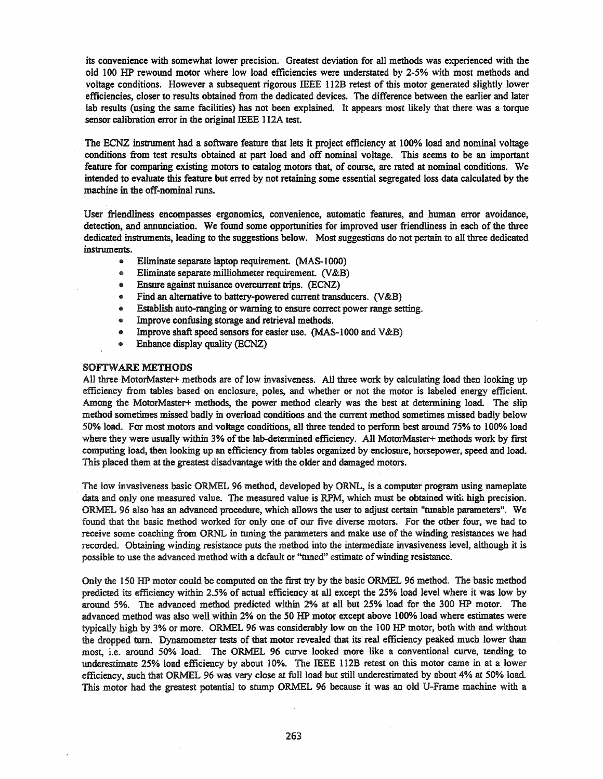its convenience with somewhat lower precision. Greatest deviation for all methods was experienced with the old 100 HP rewound motor where low load efficiencies were understated by 2-5% with most methods and voltage conditions. However a subsequent rigorous IEEE l12B retest of this motor generated slightly lower efficiencies, closer to results obtained from the dedicated devices. The difference between the earlier and later lab results (using the same facilities) has not been explained. It appears most likely that there was a torque sensor calibration error in the original IEEE l12A test.

The ECNZ instrument had a software feature that lets it project efficiency at 100% load and nominal voltage conditions from test results obtained at part load and off nominal voltage. This seems to be an important feature for comparing existing motors to catalog motors that, of course, are rated at nominal conditions. We intended to evaluate this feature but erred by not retaining some essential segregated loss data calculated by the machine in the off-nominal runs.

User friendliness encompasses ergonomics, convenience, automatic features, and human error avoidance, detection, and annunciation. We found some opportunities for improved user friendliness in each of the three dedicated instruments, leading to the suggestions below. Most suggestions do not pertain to all three dedicated instruments.

- Eliminate separate laptop requirement. (MAS-I 000)
- Eliminate separate milliohmeter requirement. (V&B)
- @ Ensure against nuisance overcurrent trips. (ECNZ)
- Find an alternative to battery-powered current transducers. (V&B)
- Establish auto-ranging or warning to ensure correct power range setting.
- Improve confusing storage and retrieval methods.
- @ Improve shaft speed sensors for easier use. (MAS-lOOO and V&B)
- @ Enhance display quality (ECNZ)

## SOFTWARE METHODS

All three MotorMaster+ methods are of low invasiveness. All three work by calculating load then looking up efficiency from tables based on enclosure, poles, and whether or not the motor is labeled energy efficient. Among the MotorMaster+ methods, the power method clearly was the best at determining load. The slip method sometimes missed badly in overload conditions and the current method sometimes missed badly below 50% load. For most motors and voltage conditions, all three tended to perform best around 75% to 100% load where they were usually within 3% of the lab-determined efficiency. All MotorMaster+ methods work by first computing load, then looking up an efficiency from tables organized by enclosure, horsepower, speed and load. This placed them at the greatest disadvantage with the older and damaged motors.

The low invasiveness basic ORMEL 96 method, developed by ORNL, is a computer program using nameplate data and only one measured value. The measured value is RPM, which must be obtained with high precision. ORMEL 96 also has an advanced procedure, which allows the user to adjust certain "tunable parameters". We found that the basic tnethod worked for only one of our five diverse motors. For the other four, we had to receive some coaching from ORNL in tuning the parameters and make use of the winding resistances we had recorded. Obtaining winding resistance puts the method into the intermediate invasiveness level, although it is possible to use the advanced method with a default or "tuned" estimate of winding resistance.

Only the 150 HP motor could be computed on the first try by the basic ORMEL 96 method. The basic method predicted its efficiency within 2.5% of actual efficiency at all except the 25% load level where it was low by around 5%. The advanced method predicted within 2% at all but 25% load for the 300 HP motor. The advanced method was also well within 2% on the 50 HP motor except above 100% load where estimates were typically high by 3% or more. ORMEL 96 was considerably low on the 100 HP motor, both with and without the dropped turn. Dynamometer tests of that motor revealed that its real efficiency peaked much lower than most, Le. around 50% load. The ORMEL 96 curve looked more like a conventional curve, tending to underestimate 25% load efficiency by about 10%. The IEEE 1I2B retest on this motor came in at a lower efficiency, such that ORMEL 96 was very close at full load but still underestimated by about 4% at 50% load. This motor had the greatest potential to stump ORMEL 96 because it was an old V-Frame machine with a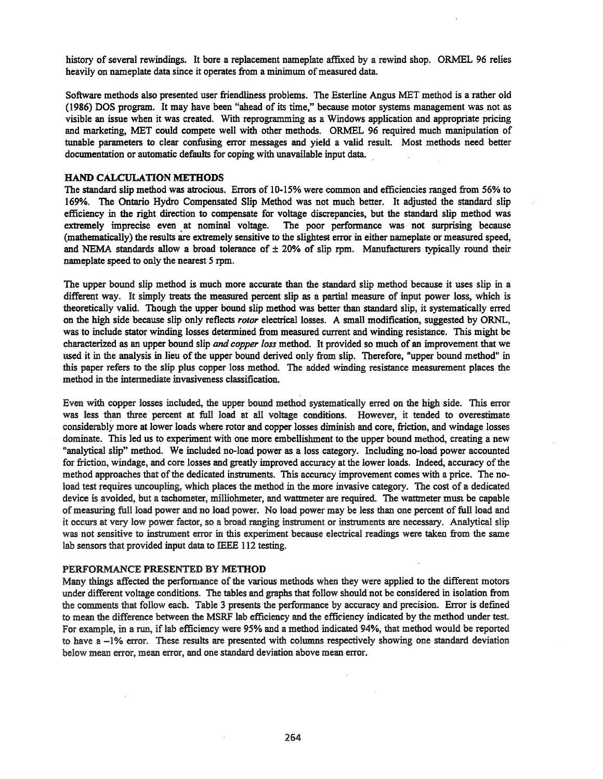history of several rewindings. It bore a replacement nameplate affixed by a rewind shop. ORMEL 96 relies heavily on nameplate data since it operates from a minimum of measured data.

Software methods also presented user friendliness problems. The Esterline Angus MET method is a rather old (1986) DOS program. It may have been "ahead of its time," because motor systems management was not as visible an issue when it was created. With reprogramming as a Windows application and appropriate pricing and marketing, MET could compete well with other methods. ORMEL 96 required much manipulation of tunable parameters to clear confusing error messages and yield a valid result. Most methods need better documentation or automatic defaults for coping with unavailable input data.

### HAND CALCULATION METHODS

The standard slip method was atrocious. Errors of 10-15% were common and efficiencies ranged from 56% to 169%. The Ontario Hydro Compensated Slip Method was not much better. It adjusted the standard slip efficiency in the right direction to compensate for voltage discrepancies, but the standard slip method was extremely imprecise even at nominal voltage. The poor performance was· not surprising because (mathematically) the results are extremely sensitive to the slightest error in either nameplate or measured speed, and NEMA standards allow a broad tolerance of  $\pm$  20% of slip rpm. Manufacturers typically round their nameplate speed to only the nearest 5 rpm.

The upper bound slip method is much more accurate than the standard slip method because it uses slip in a different way. It simply treats the measured percent slip as a partial measure of input power loss, which is theoretically valid. Though the upper bound slip method was better than standard slip, it systematically erred on the high side because slip only reflects *rotor* electrical losses. A small modification, suggested by ORNL, was to include stator winding losses determined from measured current and winding resistance. This might be characterized as an upper bound slip *and copper loss* method. It provided so much of an improvement that we used it in the analysis in lieu of the upper bound derived only from slip. Therefore, "upper bound method" in this paper refers to the slip plus copper loss method. The added winding resistance measurement places the method in the intermediate invasiveness classification.

Even with copper losses included, the upper bound method systematically erred on the high side. This error was less than three percent at full load at all voltage conditions. However, it tended to overestimate considerably more at lower loads where rotor and copper losses diminish and core, friction, and windage losses dominate. This led us to experiment with one more embellishment to the upper bound method, creating a new "analytical slip" method. We included no-load power as a loss category. Including no-load power accounted for friction, windage, and core losses and greatly improved accuracy at the lower loads. Indeed, accuracy ofthe method approaches that of the dedicated instruments. This accuracy improvement comes with a price. The noload test requires uncoupling, which places the method in the more invasive category. The cost of a dedicated device is avoided, but a tachometer, milliohmeter, and wattmeter are required. The wattmeter must be capable ofmeasuring full load power and no load power. No load power may be less than one percent of full load and it occurs at very low power factor, so a broad ranging instrument or instruments are necessary. Analytical slip was not sensitive to instrument error in this experiment because electrical readings were taken from the same lab sensors that provided input data to IEEE 112 testing.

#### PERFORMANCE PRESENTED BY METHOD

Many things affected the performance of the various methods when they were applied to the different motors under different voltage conditions. The tables and graphs that follow should not be considered in isolation from the comments that follow each. Table 3 presents the performance by accuracy and precision. Error is defined to mean the difference between the MSRF lab efficiency and the efficiency indicated by the method under test. For example, in a run, if lab efficiency were 95% and a method indicated 94%, that method would be reported to have a -1% error. These results are presented with columns respectively showing one standard deviation below mean error, mean error, and one standard deviation above mean error.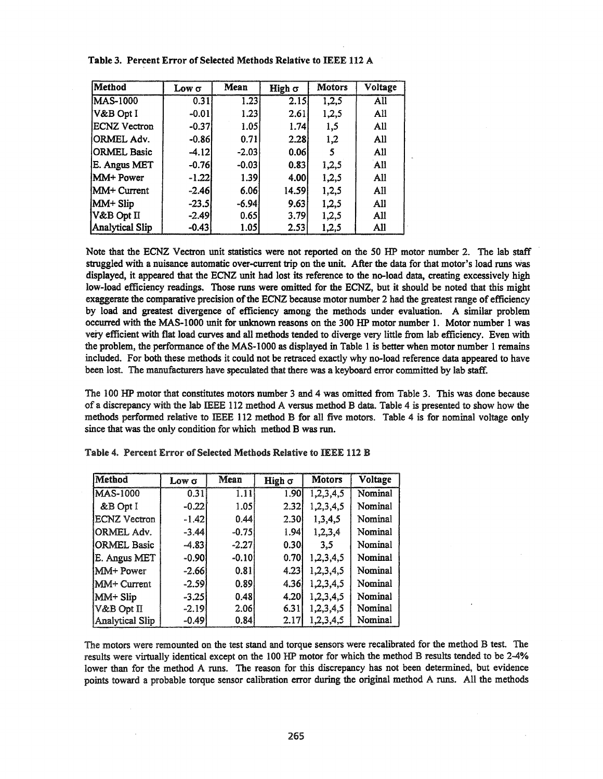| <b>Method</b>          | Low σ   | Mean    | High $\sigma$ | <b>Motors</b> | Voltage |
|------------------------|---------|---------|---------------|---------------|---------|
| <b>MAS-1000</b>        | 0.31    | 1.23    | 2.15          | 1,2,5         | All     |
| V&B Opt I              | $-0.01$ | 1.23    | 2.61          | 1,2,5         | All     |
| <b>ECNZ</b> Vectron    | $-0.37$ | 1.05    | 1.74          | 1,5           | All     |
| ORMEL Adv.             | $-0.86$ | 0.71    | 2.28          | 1,2           | All     |
| <b>ORMEL Basic</b>     | $-4.12$ | $-2.03$ | 0.06          | 5             | All     |
| E. Angus MET           | $-0.76$ | $-0.03$ | 0.83          | 1,2,5         | All     |
| MM+ Power              | $-1.22$ | 1.39    | 4.001         | 1,2,5         | All     |
| <b>MM+ Current</b>     | $-2.46$ | 6.06    | 14.591        | 1,2,5         | All     |
| MM+ Slip               | $-23.5$ | $-6.94$ | 9.63          | 1,2,5         | All     |
| V&B Opt II             | $-2.49$ | 0.65    | 3.79          | 1,2,5         | All     |
| <b>Analytical Slip</b> | $-0.43$ | 1.05    | 2.53          | 1,2,5         | All     |

Table 3. Percent Error of Selected Methods Relative to IEEE 112 A

Note that the ECNZ Vectron unit statistics were not reported on the 50 HP motor number 2. The lab staff struggled with a nuisance automatic over-current trip on the unit. After the data for that motor's load runs was displayed, it appeared that the ECNZ unit had lost its reference to the no-load data, creating excessively high low-load efficiency readings. Those runs were omitted for the ECNZ, but it should be noted that this might exaggerate the comparative precision of the ECNZ because motor number 2 had the greatest range of efficiency by load and greatest divergence of efficiency among the methods under evaluation. A similar problem occurred with the MAS-IOOO unit for unknown reasons on the 300 HP motor number 1. Motor number 1 was very efficient with flat load curves and all methods tended to diverge very little from lab efficiency. Even with the problem, the performance of the MAS-1000 as displayed in Table 1 is better when motor number 1 remains included. For both these methods it could not be retraced exactly why no-load reference data appeared to have been lost. The manufacturers have speculated that there was a keyboard error committed by lab staff.

The 100 HP motor that constitutes motors number 3 and 4 was omitted from Table 3. This was done because of a discrepancy with the lab IEEE 112 method A versus method B data. Table 4 is presented to show how the methods performed relative to IEEE 112 method B for all five motors. Table 4 is for nominal voltage only since that was the only condition for which method B was run.

| Method              | Low $\sigma$ | Mean              | High $\sigma$ | <b>Motors</b> | Voltage |
|---------------------|--------------|-------------------|---------------|---------------|---------|
| <b>MAS-1000</b>     | 0.31         | $\overline{1.11}$ | 1.90          | 1,2,3,4,5     | Nominal |
| &B Opt I            | $-0.22$      | 1.051             | 2.32          | 1,2,3,4,5     | Nominal |
| <b>ECNZ</b> Vectron | $-1.42$      | 0.44              | 2.30          | 1,3,4,5       | Nominal |
| ORMEL Adv.          | $-3.44$      | $-0.75$           | 1.941         | 1,2,3,4       | Nominal |
| ORMEL Basic         | $-4.83$      | $-2.27$           | 0.30          | 3,5           | Nominal |
| E. Angus MET        | $-0.90$      | $-0.10$           | 0.701         | 1,2,3,4,5     | Nominal |
| MM+ Power           | $-2.66$      | 0.81              | 4.23          | 1,2,3,4,5     | Nominal |
| MM+ Current         | $-2.59$      | 0.89              | 4.36          | 1,2,3,4,5     | Nominal |
| MM+ Slip            | $-3.25$      | 0.48              | 4.20          | 1,2,3,4,5     | Nominal |
| V&B Opt II          | $-2.19$      | 2.06              | 6.31          | 1,2,3,4,5     | Nominal |
| Analytical Slip     | $-0.49$      | 0.84              | 2.17          | 1,2,3,4,5     | Nominal |

Table 4. Percent Error of Selected Methods Relative to IEEE 112 B

The motors were remounted on the test stand and torque sensors were recalibrated for the method B test. The results were virtually identical except on the 100 HP motor for which the method B results tended to be 2-4% lower than for the method A runs. The reason for this discrepancy has not been determined, but evidence points toward a probable torque sensor calibration error during the original method A runs. All the methods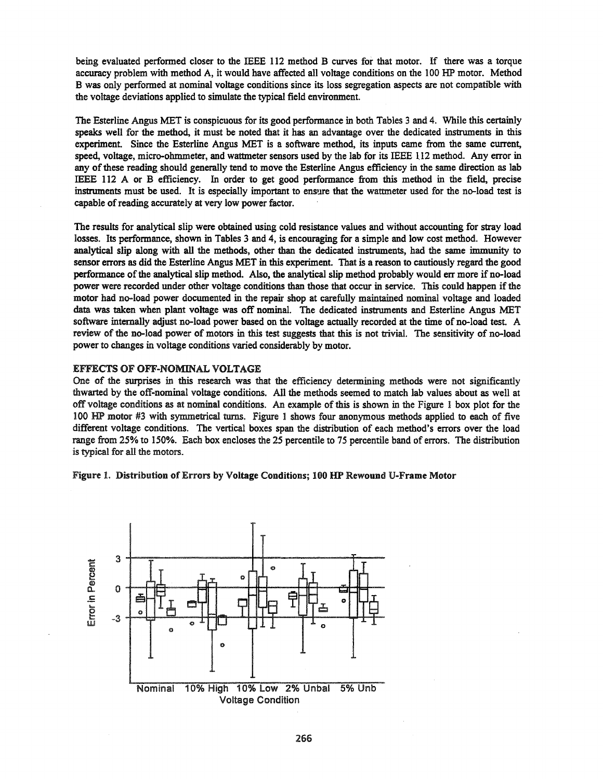being evaluated performed closer to the IEEE 112 method B curves for that motor. If there was a torque accuracy problem with method A, it would have affected all voltage conditions on the 100 HP motor. Method B was only performed at nominal voltage conditions since its loss segregation aspects are not compatible with the voltage deviations applied to simulate the typical field environment.

The Esterline Angus MET is conspicuous for its good performance in both Tables 3 and 4. While this certainly speaks well for the method, it must be noted that it has an advantage over the dedicated instruments in this experiment. Since the Esterline Angus MET is a software method, its inputs came from the same current, speed, voltage, micro-ohmmeter, and wattmeter sensors used by the lab for its IEEE 112 method. Any error in any ofthese reading should generally tend to move the Esterline Angus efficiency in the same direction as lab IEEE 112 A or B efficiency. In order to get good performance from this method in the field, precise instruments must be used. It is especially important to ensure that the wattmeter used for the no-load test is capable of reading accurately at very low power factor.

The results for analytical slip were obtained using cold resistance values and without accounting for stray load losses. Its performance, shown in Tables 3 and 4, is encouraging for a simple and low cost method. However analytical slip along with all the methods, other than the dedicated instruments, had the same immunity to sensor errors as did the Esterline Angus MET in this experiment. That is a reason to cautiously regard the good performance ofthe analytical slip method. Also, the analytical slip method probably would err more ifno-load power were recorded under other voltage conditions than those that occur in service. This could happen if the motor had no-load power documented in the repair shop at carefully maintained nominal voltage and loaded data was taken when plant voltage was off nominal. The dedicated instruments and Esterline Angus MET software internally adjust no-load power based on the voltage actually recorded at the time of no-load test. A review of the no-load power of motors in this test suggests that this is not trivial. The sensitivity of no-load power to changes in voltage conditions varied considerably by motor.

## EFFECTS OF OFF-NOMINAL VOLTAGE

One of the surprises in this research was that the efficiency determining methods were not significantly thwarted by the off-nominal voltage conditions. All the methods seemed to match lab values about as well at off voltage conditions as at nominal conditions. An example ofthis is shown in the Figure 1 box plot for the 100 HP motor #3 with symmetrical turns. Figure 1 shows four anonymous methods applied to each of five different voltage conditions. The vertical boxes span the distribution of each method's errors over the load range from 25% to 150%. Each box encloses the 25 percentile to 75 percentile band of errors. The distribution is typical for all the motors.